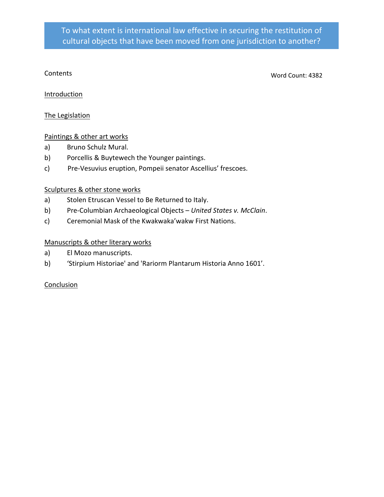#### Contents

Word Count: 4382

#### **Introduction**

#### The Legislation

#### Paintings & other art works

- a) Bruno Schulz Mural.
- b) Porcellis & Buytewech the Younger paintings.
- c) Pre-Vesuvius eruption, Pompeii senator Ascellius' frescoes.

#### Sculptures & other stone works

- a) Stolen Etruscan Vessel to Be Returned to Italy.
- b) Pre-Columbian Archaeological Objects *United States v. McClain*.
- c) Ceremonial Mask of the Kwakwaka'wakw First Nations.

#### Manuscripts & other literary works

- a) El Mozo manuscripts.
- b) 'Stirpium Historiae' and 'Rariorm Plantarum Historia Anno 1601'.

#### Conclusion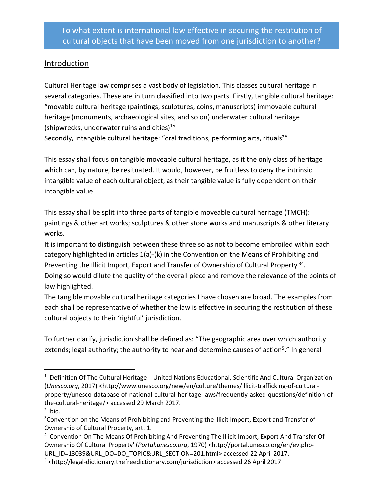#### **Introduction**

Cultural Heritage law comprises a vast body of legislation. This classes cultural heritage in several categories. These are in turn classified into two parts. Firstly, tangible cultural heritage: "movable cultural heritage (paintings, sculptures, coins, manuscripts) immovable cultural heritage (monuments, archaeological sites, and so on) underwater cultural heritage (shipwrecks, underwater ruins and cities) $1''$ 

Secondly, intangible cultural heritage: "oral traditions, performing arts, rituals<sup>2"</sup>

This essay shall focus on tangible moveable cultural heritage, as it the only class of heritage which can, by nature, be resituated. It would, however, be fruitless to deny the intrinsic intangible value of each cultural object, as their tangible value is fully dependent on their intangible value.

This essay shall be split into three parts of tangible moveable cultural heritage (TMCH): paintings & other art works; sculptures & other stone works and manuscripts & other literary works.

It is important to distinguish between these three so as not to become embroiled within each category highlighted in articles 1(a)-(k) in the Convention on the Means of Prohibiting and Preventing the Illicit Import, Export and Transfer of Ownership of Cultural Property<sup>34</sup>. Doing so would dilute the quality of the overall piece and remove the relevance of the points of law highlighted.

The tangible movable cultural heritage categories I have chosen are broad. The examples from each shall be representative of whether the law is effective in securing the restitution of these cultural objects to their 'rightful' jurisdiction.

To further clarify, jurisdiction shall be defined as: "The geographic area over which authority extends; legal authority; the authority to hear and determine causes of action<sup>5</sup>." In general

<sup>&</sup>lt;sup>1</sup> 'Definition Of The Cultural Heritage | United Nations Educational, Scientific And Cultural Organization' (*Unesco.org*, 2017) <http://www.unesco.org/new/en/culture/themes/illicit-trafficking-of-culturalproperty/unesco-database-of-national-cultural-heritage-laws/frequently-asked-questions/definition-ofthe-cultural-heritage/> accessed 29 March 2017.  $<sup>2</sup>$  Ibid.</sup>

<sup>&</sup>lt;sup>3</sup> Convention on the Means of Prohibiting and Preventing the Illicit Import, Export and Transfer of Ownership of Cultural Property, art. 1.

<sup>4</sup> 'Convention On The Means Of Prohibiting And Preventing The Illicit Import, Export And Transfer Of Ownership Of Cultural Property' (*Portal.unesco.org*, 1970) <http://portal.unesco.org/en/ev.php-URL\_ID=13039&URL\_DO=DO\_TOPIC&URL\_SECTION=201.html> accessed 22 April 2017.

<sup>&</sup>lt;sup>5</sup> <http://legal-dictionary.thefreedictionary.com/jurisdiction> accessed 26 April 2017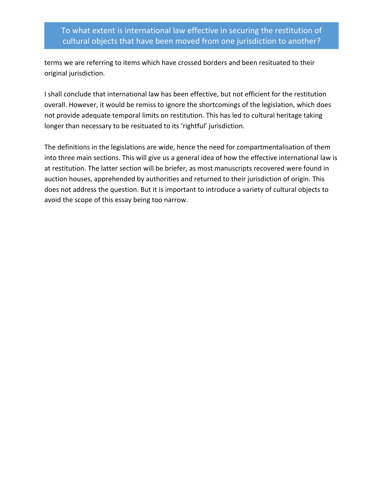terms we are referring to items which have crossed borders and been resituated to their original jurisdiction.

I shall conclude that international law has been effective, but not efficient for the restitution overall. However, it would be remiss to ignore the shortcomings of the legislation, which does not provide adequate temporal limits on restitution. This has led to cultural heritage taking longer than necessary to be resituated to its 'rightful' jurisdiction.

The definitions in the legislations are wide, hence the need for compartmentalisation of them into three main sections. This will give us a general idea of how the effective international law is at restitution. The latter section will be briefer, as most manuscripts recovered were found in auction houses, apprehended by authorities and returned to their jurisdiction of origin. This does not address the question. But it is important to introduce a variety of cultural objects to avoid the scope of this essay being too narrow.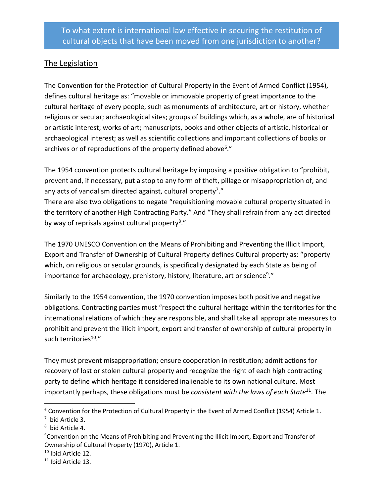# The Legislation

The Convention for the Protection of Cultural Property in the Event of Armed Conflict (1954), defines cultural heritage as: "movable or immovable property of great importance to the cultural heritage of every people, such as monuments of architecture, art or history, whether religious or secular; archaeological sites; groups of buildings which, as a whole, are of historical or artistic interest; works of art; manuscripts, books and other objects of artistic, historical or archaeological interest; as well as scientific collections and important collections of books or archives or of reproductions of the property defined above<sup>6</sup>."

The 1954 convention protects cultural heritage by imposing a positive obligation to "prohibit, prevent and, if necessary, put a stop to any form of theft, pillage or misappropriation of, and any acts of vandalism directed against, cultural property<sup>7</sup>."

There are also two obligations to negate "requisitioning movable cultural property situated in the territory of another High Contracting Party." And "They shall refrain from any act directed by way of reprisals against cultural property<sup>8</sup>."

The 1970 UNESCO Convention on the Means of Prohibiting and Preventing the Illicit Import, Export and Transfer of Ownership of Cultural Property defines Cultural property as: "property which, on religious or secular grounds, is specifically designated by each State as being of importance for archaeology, prehistory, history, literature, art or science<sup>9</sup>."

Similarly to the 1954 convention, the 1970 convention imposes both positive and negative obligations. Contracting parties must "respect the cultural heritage within the territories for the international relations of which they are responsible, and shall take all appropriate measures to prohibit and prevent the illicit import, export and transfer of ownership of cultural property in such territories<sup>10</sup>."

They must prevent misappropriation; ensure cooperation in restitution; admit actions for recovery of lost or stolen cultural property and recognize the right of each high contracting party to define which heritage it considered inalienable to its own national culture. Most importantly perhaps, these obligations must be *consistent with the laws of each State*11. The

 $6$  Convention for the Protection of Cultural Property in the Event of Armed Conflict (1954) Article 1.<br><sup>7</sup> Ibid Article 3.

<sup>8</sup> Ibid Article 4.

<sup>&</sup>lt;sup>9</sup> Convention on the Means of Prohibiting and Preventing the Illicit Import, Export and Transfer of Ownership of Cultural Property (1970), Article 1.

 $10$  Ibid Article 12.<br> $11$  Ibid Article 13.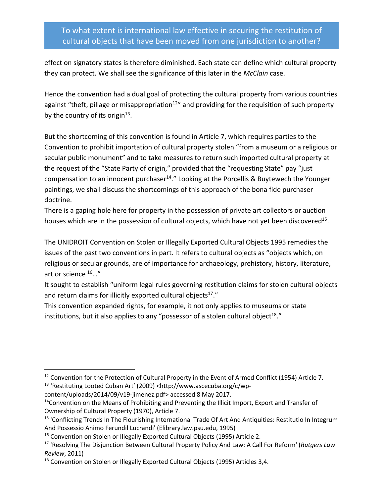effect on signatory states is therefore diminished. Each state can define which cultural property they can protect. We shall see the significance of this later in the *McClain* case.

Hence the convention had a dual goal of protecting the cultural property from various countries against "theft, pillage or misappropriation<sup>12"</sup> and providing for the requisition of such property by the country of its origin<sup>13</sup>.

But the shortcoming of this convention is found in Article 7, which requires parties to the Convention to prohibit importation of cultural property stolen "from a museum or a religious or secular public monument" and to take measures to return such imported cultural property at the request of the "State Party of origin," provided that the "requesting State" pay "just compensation to an innocent purchaser $14.''$  Looking at the Porcellis & Buytewech the Younger paintings, we shall discuss the shortcomings of this approach of the bona fide purchaser doctrine.

There is a gaping hole here for property in the possession of private art collectors or auction houses which are in the possession of cultural objects, which have not yet been discovered<sup>15</sup>.

The UNIDROIT Convention on Stolen or Illegally Exported Cultural Objects 1995 remedies the issues of the past two conventions in part. It refers to cultural objects as "objects which, on religious or secular grounds, are of importance for archaeology, prehistory, history, literature, art or science 16…"

It sought to establish "uniform legal rules governing restitution claims for stolen cultural objects and return claims for illicitly exported cultural objects $17$ ."

This convention expanded rights, for example, it not only applies to museums or state institutions, but it also applies to any "possessor of a stolen cultural object<sup>18</sup>."

<sup>&</sup>lt;sup>12</sup> Convention for the Protection of Cultural Property in the Event of Armed Conflict (1954) Article 7. <sup>13</sup> 'Restituting Looted Cuban Art' (2009) <http://www.ascecuba.org/c/wp-

content/uploads/2014/09/v19-jimenez.pdf> accessed 8 May 2017.

 $14$ Convention on the Means of Prohibiting and Preventing the Illicit Import, Export and Transfer of Ownership of Cultural Property (1970), Article 7.

<sup>&</sup>lt;sup>15</sup> 'Conflicting Trends In The Flourishing International Trade Of Art And Antiquities: Restitutio In Integrum And Possessio Animo Ferundil Lucrandi' (Elibrary.law.psu.edu, 1995)

<sup>&</sup>lt;sup>16</sup> Convention on Stolen or Illegally Exported Cultural Objects (1995) Article 2.<br><sup>17</sup> 'Resolving The Disjunction Between Cultural Property Policy And Law: A Call For Reform' (*Rutgers Law Review*, 2011)

<sup>&</sup>lt;sup>18</sup> Convention on Stolen or Illegally Exported Cultural Objects (1995) Articles 3,4.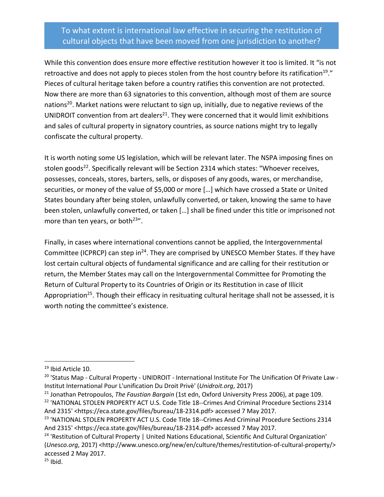While this convention does ensure more effective restitution however it too is limited. It "is not retroactive and does not apply to pieces stolen from the host country before its ratification<sup>19</sup>." Pieces of cultural heritage taken before a country ratifies this convention are not protected. Now there are more than 63 signatories to this convention, although most of them are source nations<sup>20</sup>. Market nations were reluctant to sign up, initially, due to negative reviews of the UNIDROIT convention from art dealers $^{21}$ . They were concerned that it would limit exhibitions and sales of cultural property in signatory countries, as source nations might try to legally confiscate the cultural property.

It is worth noting some US legislation, which will be relevant later. The NSPA imposing fines on stolen goods<sup>22</sup>. Specifically relevant will be Section 2314 which states: "Whoever receives, possesses, conceals, stores, barters, sells, or disposes of any goods, wares, or merchandise, securities, or money of the value of \$5,000 or more […] which have crossed a State or United States boundary after being stolen, unlawfully converted, or taken, knowing the same to have been stolen, unlawfully converted, or taken […] shall be fined under this title or imprisoned not more than ten years, or both $23"$ .

Finally, in cases where international conventions cannot be applied, the Intergovernmental Committee (ICPRCP) can step in<sup>24</sup>. They are comprised by UNESCO Member States. If they have lost certain cultural objects of fundamental significance and are calling for their restitution or return, the Member States may call on the Intergovernmental Committee for Promoting the Return of Cultural Property to its Countries of Origin or its Restitution in case of Illicit Appropriation<sup>25</sup>. Though their efficacy in resituating cultural heritage shall not be assessed, it is worth noting the committee's existence.

<sup>&</sup>lt;sup>19</sup> Ibid Article 10.

<sup>&</sup>lt;sup>20</sup> 'Status Map - Cultural Property - UNIDROIT - International Institute For The Unification Of Private Law -Institut International Pour L'unification Du Droit Privè' (*Unidroit.org*, 2017)

<sup>21</sup> Jonathan Petropoulos, *The Faustian Bargain* (1st edn, Oxford University Press 2006), at page 109. <sup>22</sup> 'NATIONAL STOLEN PROPERTY ACT U.S. Code Title 18--Crimes And Criminal Procedure Sections 2314

And 2315' <https://eca.state.gov/files/bureau/18-2314.pdf> accessed 7 May 2017.

<sup>&</sup>lt;sup>23</sup> 'NATIONAL STOLEN PROPERTY ACT U.S. Code Title 18--Crimes And Criminal Procedure Sections 2314 And 2315' <https://eca.state.gov/files/bureau/18-2314.pdf> accessed 7 May 2017.

<sup>&</sup>lt;sup>24</sup> 'Restitution of Cultural Property | United Nations Educational, Scientific And Cultural Organization' (*Unesco.org*, 2017) <http://www.unesco.org/new/en/culture/themes/restitution-of-cultural-property/> accessed 2 May 2017.

 $25$  Ibid.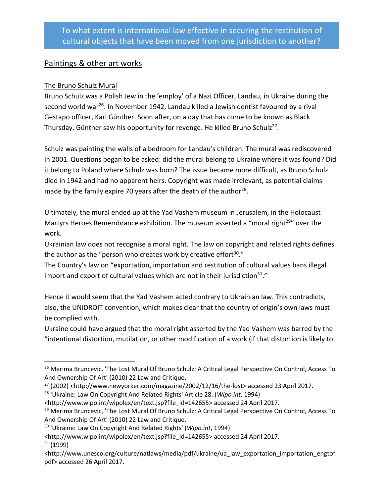## Paintings & other art works

#### The Bruno Schulz Mural

Bruno Schulz was a Polish Jew in the 'employ' of a Nazi Officer, Landau, in Ukraine during the second world war<sup>26</sup>. In November 1942, Landau killed a Jewish dentist favoured by a rival Gestapo officer, Karl Günther. Soon after, on a day that has come to be known as Black Thursday, Günther saw his opportunity for revenge. He killed Bruno Schulz<sup>27</sup>.

Schulz was painting the walls of a bedroom for Landau's children. The mural was rediscovered in 2001. Questions began to be asked: did the mural belong to Ukraine where it was found? Did it belong to Poland where Schulz was born? The issue became more difficult, as Bruno Schulz died in 1942 and had no apparent heirs. Copyright was made irrelevant, as potential claims made by the family expire 70 years after the death of the author<sup>28</sup>.

Ultimately, the mural ended up at the Yad Vashem museum in Jerusalem, in the Holocaust Martyrs Heroes Remembrance exhibition. The museum asserted a "moral right<sup>29"</sup> over the work.

Ukrainian law does not recognise a moral right. The law on copyright and related rights defines the author as the "person who creates work by creative effort $30.''$ 

The Country's law on "exportation, importation and restitution of cultural values bans illegal import and export of cultural values which are not in their jurisdiction<sup>31</sup>."

Hence it would seem that the Yad Vashem acted contrary to Ukrainian law. This contradicts, also, the UNIDROIT convention, which makes clear that the country of origin's own laws must be complied with.

Ukraine could have argued that the moral right asserted by the Yad Vashem was barred by the "intentional distortion, mutilation, or other modification of a work (if that distortion is likely to

<sup>&</sup>lt;sup>26</sup> Merima Bruncevic, 'The Lost Mural Of Bruno Schulz: A Critical Legal Perspective On Control, Access To And Ownership Of Art' (2010) 22 Law and Critique.

<sup>27</sup> (2002) <http://www.newyorker.com/magazine/2002/12/16/the-lost> accessed 23 April 2017.

<sup>28</sup> 'Ukraine: Law On Copyright And Related Rights' Article 28. (*Wipo.int*, 1994)

<sup>&</sup>lt;http://www.wipo.int/wipolex/en/text.jsp?file\_id=142655> accessed 24 April 2017.

<sup>&</sup>lt;sup>29</sup> Merima Bruncevic, 'The Lost Mural Of Bruno Schulz: A Critical Legal Perspective On Control, Access To And Ownership Of Art' (2010) 22 Law and Critique.

<sup>30</sup> 'Ukraine: Law On Copyright And Related Rights' (*Wipo.int*, 1994)

<sup>&</sup>lt;http://www.wipo.int/wipolex/en/text.jsp?file\_id=142655> accessed 24 April 2017.  $31(1999)$ 

<sup>&</sup>lt;http://www.unesco.org/culture/natlaws/media/pdf/ukraine/ua\_law\_exportation\_importation\_engtof. pdf> accessed 26 April 2017.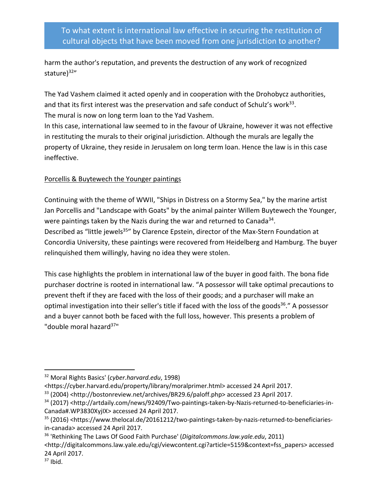harm the author's reputation, and prevents the destruction of any work of recognized stature)<sup>32"</sup>

The Yad Vashem claimed it acted openly and in cooperation with the Drohobycz authorities, and that its first interest was the preservation and safe conduct of Schulz's work<sup>33</sup>. The mural is now on long term loan to the Yad Vashem.

In this case, international law seemed to in the favour of Ukraine, however it was not effective in restituting the murals to their original jurisdiction. Although the murals are legally the property of Ukraine, they reside in Jerusalem on long term loan. Hence the law is in this case ineffective.

#### Porcellis & Buytewech the Younger paintings

Continuing with the theme of WWII, "Ships in Distress on a Stormy Sea," by the marine artist Jan Porcellis and "Landscape with Goats" by the animal painter Willem Buytewech the Younger, were paintings taken by the Nazis during the war and returned to Canada<sup>34</sup>. Described as "little jewels<sup>35</sup>" by Clarence Epstein, director of the Max-Stern Foundation at Concordia University, these paintings were recovered from Heidelberg and Hamburg. The buyer relinquished them willingly, having no idea they were stolen.

This case highlights the problem in international law of the buyer in good faith. The bona fide purchaser doctrine is rooted in international law. "A possessor will take optimal precautions to prevent theft if they are faced with the loss of their goods; and a purchaser will make an optimal investigation into their seller's title if faced with the loss of the goods<sup>36</sup>." A possessor and a buyer cannot both be faced with the full loss, however. This presents a problem of "double moral hazard<sup>37</sup>"

 <sup>32</sup> Moral Rights Basics' (*cyber.harvard.edu*, 1998)

<sup>&</sup>lt;https://cyber.harvard.edu/property/library/moralprimer.html> accessed 24 April 2017.

<sup>33</sup> (2004) <http://bostonreview.net/archives/BR29.6/paloff.php> accessed 23 April 2017.

<sup>34</sup> (2017) <http://artdaily.com/news/92409/Two-paintings-taken-by-Nazis-returned-to-beneficiaries-in-Canada#.WP3830XyjIX> accessed 24 April 2017.

<sup>35</sup> (2016) <https://www.thelocal.de/20161212/two-paintings-taken-by-nazis-returned-to-beneficiariesin-canada> accessed 24 April 2017.

<sup>36</sup> 'Rethinking The Laws Of Good Faith Purchase' (*Digitalcommons.law.yale.edu*, 2011)

<sup>&</sup>lt;http://digitalcommons.law.yale.edu/cgi/viewcontent.cgi?article=5159&context=fss\_papers> accessed 24 April 2017.

 $37$  Ibid.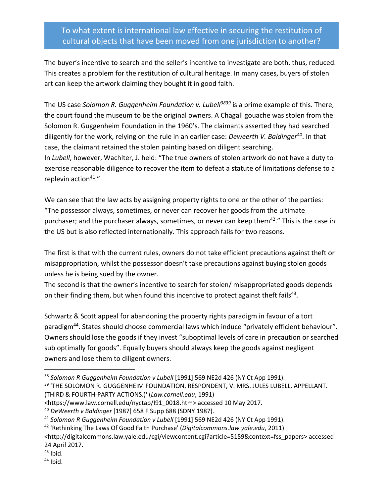The buyer's incentive to search and the seller's incentive to investigate are both, thus, reduced. This creates a problem for the restitution of cultural heritage. In many cases, buyers of stolen art can keep the artwork claiming they bought it in good faith.

The US case *Solomon R. Guggenheim Foundation v. Lubell<sup>3839</sup>* is a prime example of this. There, the court found the museum to be the original owners. A Chagall gouache was stolen from the Solomon R. Guggenheim Foundation in the 1960's. The claimants asserted they had searched diligently for the work, relying on the rule in an earlier case: *Deweerth V. Baldinger*<sup>40</sup>. In that case, the claimant retained the stolen painting based on diligent searching. In *Lubell*, however, Wachlter, J. held: "The true owners of stolen artwork do not have a duty to exercise reasonable diligence to recover the item to defeat a statute of limitations defense to a replevin action<sup>41</sup>."

We can see that the law acts by assigning property rights to one or the other of the parties: "The possessor always, sometimes, or never can recover her goods from the ultimate purchaser; and the purchaser always, sometimes, or never can keep them $42.$ " This is the case in the US but is also reflected internationally. This approach fails for two reasons.

The first is that with the current rules, owners do not take efficient precautions against theft or misappropriation, whilst the possessor doesn't take precautions against buying stolen goods unless he is being sued by the owner.

The second is that the owner's incentive to search for stolen/ misappropriated goods depends on their finding them, but when found this incentive to protect against theft fails<sup>43</sup>.

Schwartz & Scott appeal for abandoning the property rights paradigm in favour of a tort paradigm44. States should choose commercial laws which induce "privately efficient behaviour". Owners should lose the goods if they invest "suboptimal levels of care in precaution or searched sub optimally for goods". Equally buyers should always keep the goods against negligent owners and lose them to diligent owners.

 <sup>38</sup> *Solomon R Guggenheim Foundation v Lubell* [1991] 569 NE2d 426 (NY Ct App 1991).

<sup>&</sup>lt;sup>39</sup> 'THE SOLOMON R. GUGGENHEIM FOUNDATION, RESPONDENT, V. MRS. JULES LUBELL, APPELLANT. (THIRD & FOURTH-PARTY ACTIONS.)' (*Law.cornell.edu*, 1991)

<sup>&</sup>lt;https://www.law.cornell.edu/nyctap/I91\_0018.htm> accessed 10 May 2017.

<sup>40</sup> *DeWeerth v Baldinger* [1987] 658 F Supp 688 (SDNY 1987).

<sup>41</sup> *Solomon R Guggenheim Foundation v Lubell* [1991] 569 NE2d 426 (NY Ct App 1991).

<sup>42</sup> 'Rethinking The Laws Of Good Faith Purchase' (*Digitalcommons.law.yale.edu*, 2011)

<sup>&</sup>lt;http://digitalcommons.law.yale.edu/cgi/viewcontent.cgi?article=5159&context=fss\_papers> accessed 24 April 2017.

 $43$  Ibid.

 $44$  Ibid.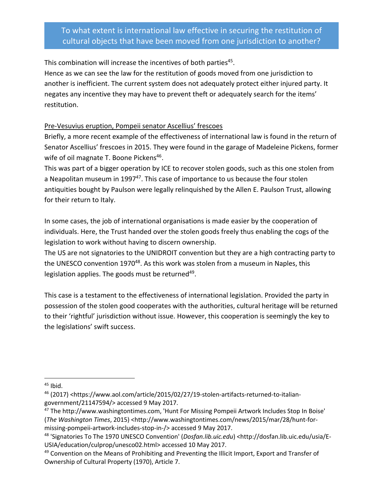This combination will increase the incentives of both parties<sup>45</sup>.

Hence as we can see the law for the restitution of goods moved from one jurisdiction to another is inefficient. The current system does not adequately protect either injured party. It negates any incentive they may have to prevent theft or adequately search for the items' restitution.

#### Pre-Vesuvius eruption, Pompeii senator Ascellius' frescoes

Briefly, a more recent example of the effectiveness of international law is found in the return of Senator Ascellius' frescoes in 2015. They were found in the garage of Madeleine Pickens, former wife of oil magnate T. Boone Pickens<sup>46</sup>.

This was part of a bigger operation by ICE to recover stolen goods, such as this one stolen from a Neapolitan museum in 1997 $47$ . This case of importance to us because the four stolen antiquities bought by Paulson were legally relinquished by the Allen E. Paulson Trust, allowing for their return to Italy.

In some cases, the job of international organisations is made easier by the cooperation of individuals. Here, the Trust handed over the stolen goods freely thus enabling the cogs of the legislation to work without having to discern ownership.

The US are not signatories to the UNIDROIT convention but they are a high contracting party to the UNESCO convention 1970<sup>48</sup>. As this work was stolen from a museum in Naples, this legislation applies. The goods must be returned<sup>49</sup>.

This case is a testament to the effectiveness of international legislation. Provided the party in possession of the stolen good cooperates with the authorities, cultural heritage will be returned to their 'rightful' jurisdiction without issue. However, this cooperation is seemingly the key to the legislations' swift success.

 $45$  Ibid.

<sup>46</sup> (2017) <https://www.aol.com/article/2015/02/27/19-stolen-artifacts-returned-to-italiangovernment/21147594/> accessed 9 May 2017.

<sup>47</sup> The http://www.washingtontimes.com, 'Hunt For Missing Pompeii Artwork Includes Stop In Boise' (*The Washington Times*, 2015) <http://www.washingtontimes.com/news/2015/mar/28/hunt-formissing-pompeii-artwork-includes-stop-in-/> accessed 9 May 2017.

<sup>48</sup> 'Signatories To The 1970 UNESCO Convention' (*Dosfan.lib.uic.edu*) <http://dosfan.lib.uic.edu/usia/E-USIA/education/culprop/unesco02.html> accessed 10 May 2017.

<sup>&</sup>lt;sup>49</sup> Convention on the Means of Prohibiting and Preventing the Illicit Import, Export and Transfer of Ownership of Cultural Property (1970), Article 7.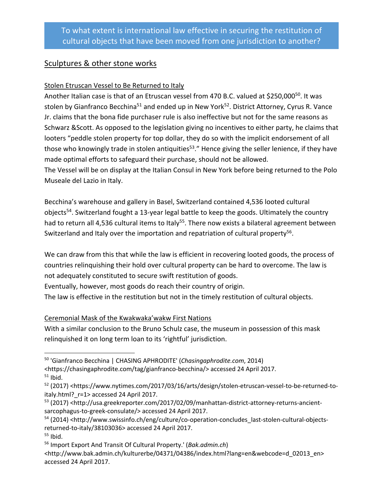## Sculptures & other stone works

#### Stolen Etruscan Vessel to Be Returned to Italy

Another Italian case is that of an Etruscan vessel from 470 B.C. valued at \$250,000<sup>50</sup>. It was stolen by Gianfranco Becchina<sup>51</sup> and ended up in New York<sup>52</sup>. District Attorney, Cyrus R. Vance Jr. claims that the bona fide purchaser rule is also ineffective but not for the same reasons as Schwarz &Scott. As opposed to the legislation giving no incentives to either party, he claims that looters "peddle stolen property for top dollar, they do so with the implicit endorsement of all those who knowingly trade in stolen antiquities<sup>53</sup>." Hence giving the seller lenience, if they have made optimal efforts to safeguard their purchase, should not be allowed.

The Vessel will be on display at the Italian Consul in New York before being returned to the Polo Museale del Lazio in Italy.

Becchina's warehouse and gallery in Basel, Switzerland contained 4,536 looted cultural objects<sup>54</sup>. Switzerland fought a 13-year legal battle to keep the goods. Ultimately the country had to return all 4,536 cultural items to Italy<sup>55</sup>. There now exists a bilateral agreement between Switzerland and Italy over the importation and repatriation of cultural property<sup>56</sup>.

We can draw from this that while the law is efficient in recovering looted goods, the process of countries relinquishing their hold over cultural property can be hard to overcome. The law is not adequately constituted to secure swift restitution of goods.

Eventually, however, most goods do reach their country of origin.

The law is effective in the restitution but not in the timely restitution of cultural objects.

Ceremonial Mask of the Kwakwaka'wakw First Nations

With a similar conclusion to the Bruno Schulz case, the museum in possession of this mask relinquished it on long term loan to its 'rightful' jurisdiction.

- 50 'Gianfranco Becchina | CHASING APHRODITE' (*Chasingaphrodite.com*, 2014) <https://chasingaphrodite.com/tag/gianfranco-becchina/> accessed 24 April 2017.
- $51$  Ibid.

<sup>53</sup> (2017) <http://usa.greekreporter.com/2017/02/09/manhattan-district-attorney-returns-ancientsarcophagus-to-greek-consulate/> accessed 24 April 2017.

<sup>&</sup>lt;sup>52</sup> (2017) <https://www.nytimes.com/2017/03/16/arts/design/stolen-etruscan-vessel-to-be-returned-toitaly.html? r=1> accessed 24 April 2017.

<sup>&</sup>lt;sup>54</sup> (2014) <http://www.swissinfo.ch/eng/culture/co-operation-concludes\_last-stolen-cultural-objectsreturned-to-italy/38103036> accessed 24 April 2017.

 $55$  Ibid.

<sup>56</sup> Import Export And Transit Of Cultural Property.' (*Bak.admin.ch*)

<sup>&</sup>lt;http://www.bak.admin.ch/kulturerbe/04371/04386/index.html?lang=en&webcode=d\_02013\_en> accessed 24 April 2017.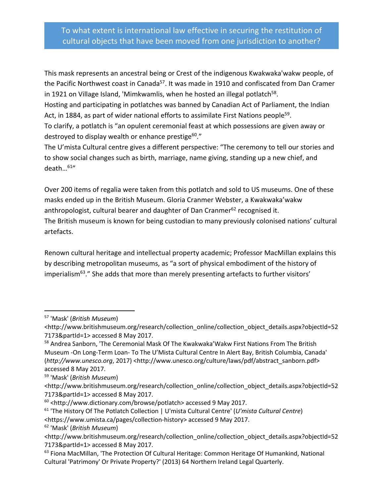This mask represents an ancestral being or Crest of the indigenous Kwakwaka'wakw people, of the Pacific Northwest coast in Canada<sup>57</sup>. It was made in 1910 and confiscated from Dan Cramer in 1921 on Village Island, 'Mimkwamlis, when he hosted an illegal potlatch<sup>58</sup>.

Hosting and participating in potlatches was banned by Canadian Act of Parliament, the Indian Act, in 1884, as part of wider national efforts to assimilate First Nations people<sup>59</sup>.

To clarify, a potlatch is "an opulent ceremonial feast at which possessions are given away or destroyed to display wealth or enhance prestige $60.$ "

The U'mista Cultural centre gives a different perspective: "The ceremony to tell our stories and to show social changes such as birth, marriage, name giving, standing up a new chief, and death…61"

Over 200 items of regalia were taken from this potlatch and sold to US museums. One of these masks ended up in the British Museum. Gloria Cranmer Webster, a Kwakwaka'wakw anthropologist, cultural bearer and daughter of Dan Cranmer $62$  recognised it. The British museum is known for being custodian to many previously colonised nations' cultural artefacts.

Renown cultural heritage and intellectual property academic; Professor MacMillan explains this by describing metropolitan museums, as "a sort of physical embodiment of the history of imperialism<sup>63</sup>." She adds that more than merely presenting artefacts to further visitors'

 <sup>57</sup> 'Mask' (*British Museum*)

<sup>&</sup>lt;http://www.britishmuseum.org/research/collection\_online/collection\_object\_details.aspx?objectId=52 7173&partId=1> accessed 8 May 2017.

<sup>58</sup> Andrea Sanborn, 'The Ceremonial Mask Of The Kwakwaka'Wakw First Nations From The British Museum -On Long-Term Loan- To The U'Mista Cultural Centre In Alert Bay, British Columbia, Canada' (http://www.unesco.org, 2017) <http://www.unesco.org/culture/laws/pdf/abstract\_sanborn.pdf> accessed 8 May 2017.

<sup>59</sup> 'Mask' (*British Museum*)

<sup>&</sup>lt;http://www.britishmuseum.org/research/collection\_online/collection\_object\_details.aspx?objectId=52 7173&partId=1> accessed 8 May 2017.

 $60$  <http://www.dictionary.com/browse/potlatch> accessed 9 May 2017.

<sup>61</sup> 'The History Of The Potlatch Collection | U'mista Cultural Centre' (*U'mista Cultural Centre*) <https://www.umista.ca/pages/collection-history> accessed 9 May 2017.

<sup>62</sup> 'Mask' (*British Museum*)

<sup>&</sup>lt;http://www.britishmuseum.org/research/collection\_online/collection\_object\_details.aspx?objectId=52 7173&partId=1> accessed 8 May 2017.

 $63$  Fiona MacMillan, 'The Protection Of Cultural Heritage: Common Heritage Of Humankind, National Cultural 'Patrimony' Or Private Property?' (2013) 64 Northern Ireland Legal Quarterly.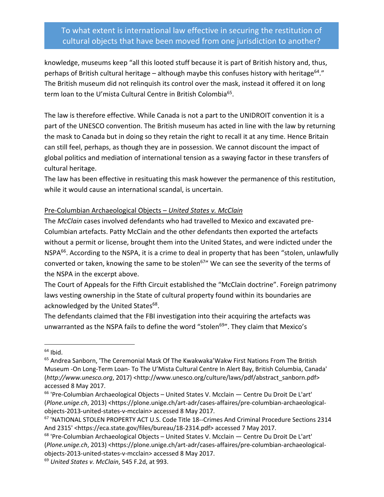knowledge, museums keep "all this looted stuff because it is part of British history and, thus, perhaps of British cultural heritage – although maybe this confuses history with heritage<sup>64</sup>." The British museum did not relinquish its control over the mask, instead it offered it on long term loan to the U'mista Cultural Centre in British Colombia<sup>65</sup>.

The law is therefore effective. While Canada is not a part to the UNIDROIT convention it is a part of the UNESCO convention. The British museum has acted in line with the law by returning the mask to Canada but in doing so they retain the right to recall it at any time. Hence Britain can still feel, perhaps, as though they are in possession. We cannot discount the impact of global politics and mediation of international tension as a swaying factor in these transfers of cultural heritage.

The law has been effective in resituating this mask however the permanence of this restitution, while it would cause an international scandal, is uncertain.

#### Pre-Columbian Archaeological Objects – *United States v. McClain*

The *McClain* cases involved defendants who had travelled to Mexico and excavated pre-Columbian artefacts. Patty McClain and the other defendants then exported the artefacts without a permit or license, brought them into the United States, and were indicted under the NSPA<sup>66</sup>. According to the NSPA, it is a crime to deal in property that has been "stolen, unlawfully converted or taken, knowing the same to be stolen<sup>67</sup>" We can see the severity of the terms of the NSPA in the excerpt above.

The Court of Appeals for the Fifth Circuit established the "McClain doctrine". Foreign patrimony laws vesting ownership in the State of cultural property found within its boundaries are acknowledged by the United States<sup>68</sup>.

The defendants claimed that the FBI investigation into their acquiring the artefacts was unwarranted as the NSPA fails to define the word "stolen<sup>69</sup>". They claim that Mexico's

 $64$  Ibid.

<sup>&</sup>lt;sup>65</sup> Andrea Sanborn, 'The Ceremonial Mask Of The Kwakwaka'Wakw First Nations From The British Museum -On Long-Term Loan- To The U'Mista Cultural Centre In Alert Bay, British Columbia, Canada' (*http://www.unesco.org*, 2017) <http://www.unesco.org/culture/laws/pdf/abstract\_sanborn.pdf> accessed 8 May 2017.

 $66$  'Pre-Columbian Archaeological Objects – United States V. Mcclain — Centre Du Droit De L'art' (*Plone.unige.ch*, 2013) <https://plone.unige.ch/art-adr/cases-affaires/pre-columbian-archaeologicalobjects-2013-united-states-v-mcclain> accessed 8 May 2017.

<sup>67</sup> 'NATIONAL STOLEN PROPERTY ACT U.S. Code Title 18--Crimes And Criminal Procedure Sections 2314 And 2315' <https://eca.state.gov/files/bureau/18-2314.pdf> accessed 7 May 2017.

 $68$  'Pre-Columbian Archaeological Objects – United States V. Mcclain — Centre Du Droit De L'art' (*Plone.unige.ch*, 2013) <https://plone.unige.ch/art-adr/cases-affaires/pre-columbian-archaeologicalobjects-2013-united-states-v-mcclain> accessed 8 May 2017.

<sup>69</sup> *United States v. McClain*, 545 F.2d, at 993.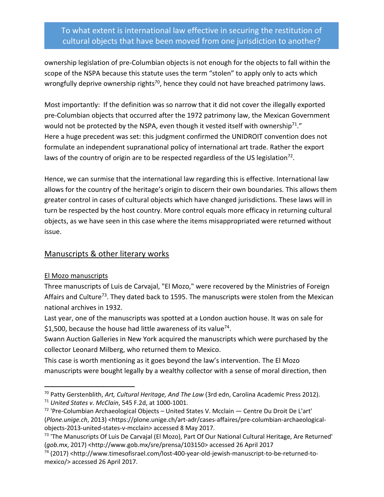ownership legislation of pre-Columbian objects is not enough for the objects to fall within the scope of the NSPA because this statute uses the term "stolen" to apply only to acts which wrongfully deprive ownership rights<sup>70</sup>, hence they could not have breached patrimony laws.

Most importantly: If the definition was so narrow that it did not cover the illegally exported pre-Columbian objects that occurred after the 1972 patrimony law, the Mexican Government would not be protected by the NSPA, even though it vested itself with ownership<sup>71</sup>." Here a huge precedent was set: this judgment confirmed the UNIDROIT convention does not formulate an independent supranational policy of international art trade. Rather the export laws of the country of origin are to be respected regardless of the US legislation<sup>72</sup>.

Hence, we can surmise that the international law regarding this is effective. International law allows for the country of the heritage's origin to discern their own boundaries. This allows them greater control in cases of cultural objects which have changed jurisdictions. These laws will in turn be respected by the host country. More control equals more efficacy in returning cultural objects, as we have seen in this case where the items misappropriated were returned without issue.

## Manuscripts & other literary works

#### El Mozo manuscripts

Three manuscripts of Luis de Carvajal, "El Mozo," were recovered by the Ministries of Foreign Affairs and Culture<sup>73</sup>. They dated back to 1595. The manuscripts were stolen from the Mexican national archives in 1932.

Last year, one of the manuscripts was spotted at a London auction house. It was on sale for \$1,500, because the house had little awareness of its value<sup>74</sup>.

Swann Auction Galleries in New York acquired the manuscripts which were purchased by the collector Leonard Milberg, who returned them to Mexico.

This case is worth mentioning as it goes beyond the law's intervention. The El Mozo manuscripts were bought legally by a wealthy collector with a sense of moral direction, then

 <sup>70</sup> Patty Gerstenblith, *Art, Cultural Heritage, And The Law* (3rd edn, Carolina Academic Press 2012). <sup>71</sup> United States v. McClain, 545 F.2d, at 1000-1001.<br><sup>72</sup> 'Pre-Columbian Archaeological Objects – United States V. Mcclain — Centre Du Droit De L'art'

<sup>(</sup>*Plone.unige.ch*, 2013) <https://plone.unige.ch/art-adr/cases-affaires/pre-columbian-archaeologicalobjects-2013-united-states-v-mcclain> accessed 8 May 2017.

 $73$  'The Manuscripts Of Luis De Carvajal (El Mozo), Part Of Our National Cultural Heritage, Are Returned' (*gob.mx*, 2017) <http://www.gob.mx/sre/prensa/103150> accessed 26 April 2017

<sup>74</sup> (2017) <http://www.timesofisrael.com/lost-400-year-old-jewish-manuscript-to-be-returned-tomexico/> accessed 26 April 2017.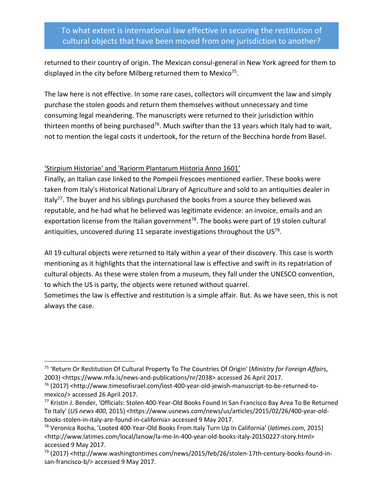returned to their country of origin. The Mexican consul-general in New York agreed for them to displayed in the city before Milberg returned them to Mexico<sup>75</sup>.

The law here is not effective. In some rare cases, collectors will circumvent the law and simply purchase the stolen goods and return them themselves without unnecessary and time consuming legal meandering. The manuscripts were returned to their jurisdiction within thirteen months of being purchased<sup>76</sup>. Much swifter than the 13 years which Italy had to wait, not to mention the legal costs it undertook, for the return of the Becchina horde from Basel.

#### 'Stirpium Historiae' and 'Rariorm Plantarum Historia Anno 1601'

Finally, an Italian case linked to the Pompeii frescoes mentioned earlier. These books were taken from Italy's Historical National Library of Agriculture and sold to an antiquities dealer in Italy<sup>77</sup>. The buyer and his siblings purchased the books from a source they believed was reputable, and he had what he believed was legitimate evidence: an invoice, emails and an exportation license from the Italian government<sup>78</sup>. The books were part of 19 stolen cultural antiquities, uncovered during 11 separate investigations throughout the US $^{79}$ .

All 19 cultural objects were returned to Italy within a year of their discovery. This case is worth mentioning as it highlights that the international law is effective and swift in its repatriation of cultural objects. As these were stolen from a museum, they fall under the UNESCO convention, to which the US is party, the objects were retuned without quarrel.

Sometimes the law is effective and restitution is a simple affair. But. As we have seen, this is not always the case.

 <sup>75</sup> 'Return Or Restitution Of Cultural Property To The Countries Of Origin' (*Ministry for Foreign Affairs*, 2003) <https://www.mfa.is/news-and-publications/nr/2038> accessed 26 April 2017.

<sup>&</sup>lt;sup>76</sup> (2017) <http://www.timesofisrael.com/lost-400-year-old-jewish-manuscript-to-be-returned-tomexico/> accessed 26 April 2017.

<sup>77</sup> Kristin J. Bender, 'Officials: Stolen 400-Year-Old Books Found In San Francisco Bay Area To Be Returned To Italy' (*US news 400*, 2015) <https://www.usnews.com/news/us/articles/2015/02/26/400-year-oldbooks-stolen-in-italy-are-found-in-california> accessed 9 May 2017.

<sup>78</sup> Veronica Rocha, 'Looted 400-Year-Old Books From Italy Turn Up In California' (*latimes.com*, 2015) <http://www.latimes.com/local/lanow/la-me-ln-400-year-old-books-italy-20150227-story.html> accessed 9 May 2017.

<sup>&</sup>lt;sup>79</sup> (2017) <http://www.washingtontimes.com/news/2015/feb/26/stolen-17th-century-books-found-insan-francisco-b/> accessed 9 May 2017.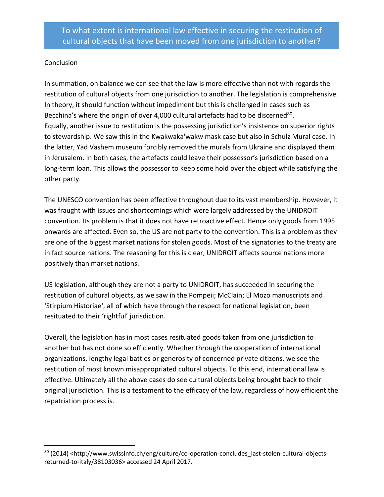#### Conclusion

In summation, on balance we can see that the law is more effective than not with regards the restitution of cultural objects from one jurisdiction to another. The legislation is comprehensive. In theory, it should function without impediment but this is challenged in cases such as Becchina's where the origin of over 4,000 cultural artefacts had to be discerned<sup>80</sup>. Equally, another issue to restitution is the possessing jurisdiction's insistence on superior rights to stewardship. We saw this in the Kwakwaka'wakw mask case but also in Schulz Mural case. In the latter, Yad Vashem museum forcibly removed the murals from Ukraine and displayed them in Jerusalem. In both cases, the artefacts could leave their possessor's jurisdiction based on a long-term loan. This allows the possessor to keep some hold over the object while satisfying the other party.

The UNESCO convention has been effective throughout due to its vast membership. However, it was fraught with issues and shortcomings which were largely addressed by the UNIDROIT convention. Its problem is that it does not have retroactive effect. Hence only goods from 1995 onwards are affected. Even so, the US are not party to the convention. This is a problem as they are one of the biggest market nations for stolen goods. Most of the signatories to the treaty are in fact source nations. The reasoning for this is clear, UNIDROIT affects source nations more positively than market nations.

US legislation, although they are not a party to UNIDROIT, has succeeded in securing the restitution of cultural objects, as we saw in the Pompeii; McClain; El Mozo manuscripts and 'Stirpium Historiae', all of which have through the respect for national legislation, been resituated to their 'rightful' jurisdiction.

Overall, the legislation has in most cases resituated goods taken from one jurisdiction to another but has not done so efficiently. Whether through the cooperation of international organizations, lengthy legal battles or generosity of concerned private citizens, we see the restitution of most known misappropriated cultural objects. To this end, international law is effective. Ultimately all the above cases do see cultural objects being brought back to their original jurisdiction. This is a testament to the efficacy of the law, regardless of how efficient the repatriation process is.

<sup>80 (2014) &</sup>lt;http://www.swissinfo.ch/eng/culture/co-operation-concludes\_last-stolen-cultural-objectsreturned-to-italy/38103036> accessed 24 April 2017.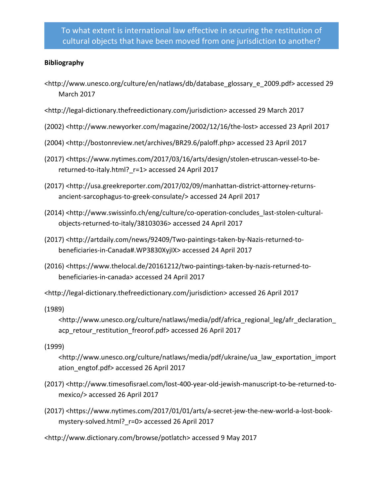#### **Bibliography**

- <http://www.unesco.org/culture/en/natlaws/db/database\_glossary\_e\_2009.pdf> accessed 29 March 2017
- <http://legal-dictionary.thefreedictionary.com/jurisdiction> accessed 29 March 2017
- (2002) <http://www.newyorker.com/magazine/2002/12/16/the-lost> accessed 23 April 2017
- (2004) <http://bostonreview.net/archives/BR29.6/paloff.php> accessed 23 April 2017
- (2017) <https://www.nytimes.com/2017/03/16/arts/design/stolen-etruscan-vessel-to-bereturned-to-italy.html?\_r=1> accessed 24 April 2017
- (2017) <http://usa.greekreporter.com/2017/02/09/manhattan-district-attorney-returnsancient-sarcophagus-to-greek-consulate/> accessed 24 April 2017
- (2014) <http://www.swissinfo.ch/eng/culture/co-operation-concludes\_last-stolen-culturalobjects-returned-to-italy/38103036> accessed 24 April 2017
- (2017) <http://artdaily.com/news/92409/Two-paintings-taken-by-Nazis-returned-tobeneficiaries-in-Canada#.WP3830XyjIX> accessed 24 April 2017
- (2016) <https://www.thelocal.de/20161212/two-paintings-taken-by-nazis-returned-tobeneficiaries-in-canada> accessed 24 April 2017
- <http://legal-dictionary.thefreedictionary.com/jurisdiction> accessed 26 April 2017
- (1989)
	- <http://www.unesco.org/culture/natlaws/media/pdf/africa\_regional\_leg/afr\_declaration\_ acp\_retour\_restitution\_freorof.pdf> accessed 26 April 2017

#### (1999)

- <http://www.unesco.org/culture/natlaws/media/pdf/ukraine/ua\_law\_exportation\_import ation\_engtof.pdf> accessed 26 April 2017
- (2017) <http://www.timesofisrael.com/lost-400-year-old-jewish-manuscript-to-be-returned-tomexico/> accessed 26 April 2017
- (2017) <https://www.nytimes.com/2017/01/01/arts/a-secret-jew-the-new-world-a-lost-bookmystery-solved.html?\_r=0> accessed 26 April 2017
- <http://www.dictionary.com/browse/potlatch> accessed 9 May 2017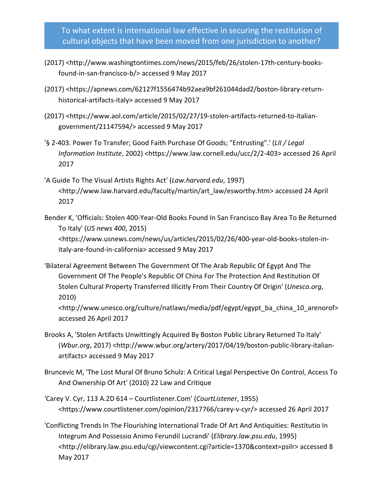- (2017) <http://www.washingtontimes.com/news/2015/feb/26/stolen-17th-century-booksfound-in-san-francisco-b/> accessed 9 May 2017
- (2017) <https://apnews.com/62127f1556474b92aea9bf261044dad2/boston-library-returnhistorical-artifacts-italy> accessed 9 May 2017
- (2017) <https://www.aol.com/article/2015/02/27/19-stolen-artifacts-returned-to-italiangovernment/21147594/> accessed 9 May 2017
- '§ 2-403. Power To Transfer; Good Faith Purchase Of Goods; "Entrusting".' (*LII / Legal Information Institute*, 2002) <https://www.law.cornell.edu/ucc/2/2-403> accessed 26 April 2017
- 'A Guide To The Visual Artists Rights Act' (*Law.harvard.edu*, 1997) <http://www.law.harvard.edu/faculty/martin/art\_law/esworthy.htm> accessed 24 April 2017
- Bender K, 'Officials: Stolen 400-Year-Old Books Found In San Francisco Bay Area To Be Returned To Italy' (*US news 400*, 2015) <https://www.usnews.com/news/us/articles/2015/02/26/400-year-old-books-stolen-initaly-are-found-in-california> accessed 9 May 2017
- 'Bilateral Agreement Between The Government Of The Arab Republic Of Egypt And The Government Of The People's Republic Of China For The Protection And Restitution Of Stolen Cultural Property Transferred Illicitly From Their Country Of Origin' (*Unesco.org*, 2010)

<http://www.unesco.org/culture/natlaws/media/pdf/egypt/egypt\_ba\_china\_10\_arenorof> accessed 26 April 2017

- Brooks A, 'Stolen Artifacts Unwittingly Acquired By Boston Public Library Returned To Italy' (*Wbur.org*, 2017) <http://www.wbur.org/artery/2017/04/19/boston-public-library-italianartifacts> accessed 9 May 2017
- Bruncevic M, 'The Lost Mural Of Bruno Schulz: A Critical Legal Perspective On Control, Access To And Ownership Of Art' (2010) 22 Law and Critique
- 'Carey V. Cyr, 113 A.2D 614 Courtlistener.Com' (*CourtListener*, 1955) <https://www.courtlistener.com/opinion/2317766/carey-v-cyr/> accessed 26 April 2017
- 'Conflicting Trends In The Flourishing International Trade Of Art And Antiquities: Restitutio In Integrum And Possessio Animo Ferundil Lucrandi' (*Elibrary.law.psu.edu*, 1995) <http://elibrary.law.psu.edu/cgi/viewcontent.cgi?article=1370&context=psilr> accessed 8 May 2017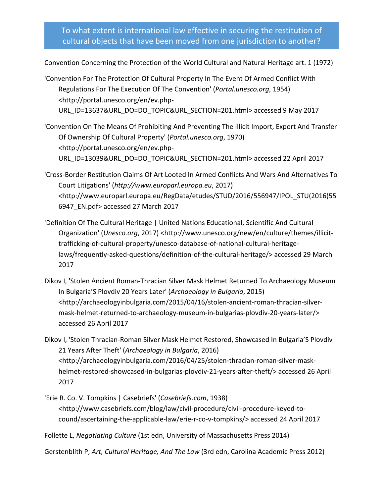Convention Concerning the Protection of the World Cultural and Natural Heritage art. 1 (1972)

'Convention For The Protection Of Cultural Property In The Event Of Armed Conflict With Regulations For The Execution Of The Convention' (*Portal.unesco.org*, 1954) <http://portal.unesco.org/en/ev.php-URL\_ID=13637&URL\_DO=DO\_TOPIC&URL\_SECTION=201.html> accessed 9 May 2017

'Convention On The Means Of Prohibiting And Preventing The Illicit Import, Export And Transfer Of Ownership Of Cultural Property' (*Portal.unesco.org*, 1970) <http://portal.unesco.org/en/ev.php-URL\_ID=13039&URL\_DO=DO\_TOPIC&URL\_SECTION=201.html> accessed 22 April 2017

'Cross-Border Restitution Claims Of Art Looted In Armed Conflicts And Wars And Alternatives To Court Litigations' (*http://www.europarl.europa.eu*, 2017) <http://www.europarl.europa.eu/RegData/etudes/STUD/2016/556947/IPOL\_STU(2016)55 6947\_EN.pdf> accessed 27 March 2017

'Definition Of The Cultural Heritage | United Nations Educational, Scientific And Cultural Organization' (*Unesco.org*, 2017) <http://www.unesco.org/new/en/culture/themes/illicittrafficking-of-cultural-property/unesco-database-of-national-cultural-heritagelaws/frequently-asked-questions/definition-of-the-cultural-heritage/> accessed 29 March 2017

Dikov I, 'Stolen Ancient Roman-Thracian Silver Mask Helmet Returned To Archaeology Museum In Bulgaria'S Plovdiv 20 Years Later' (*Archaeology in Bulgaria*, 2015) <http://archaeologyinbulgaria.com/2015/04/16/stolen-ancient-roman-thracian-silvermask-helmet-returned-to-archaeology-museum-in-bulgarias-plovdiv-20-years-later/> accessed 26 April 2017

Dikov I, 'Stolen Thracian-Roman Silver Mask Helmet Restored, Showcased In Bulgaria'S Plovdiv 21 Years After Theft' (*Archaeology in Bulgaria*, 2016) <http://archaeologyinbulgaria.com/2016/04/25/stolen-thracian-roman-silver-maskhelmet-restored-showcased-in-bulgarias-plovdiv-21-years-after-theft/> accessed 26 April 2017

'Erie R. Co. V. Tompkins | Casebriefs' (*Casebriefs.com*, 1938) <http://www.casebriefs.com/blog/law/civil-procedure/civil-procedure-keyed-tocound/ascertaining-the-applicable-law/erie-r-co-v-tompkins/> accessed 24 April 2017

Follette L, *Negotiating Culture* (1st edn, University of Massachusetts Press 2014)

Gerstenblith P, *Art, Cultural Heritage, And The Law* (3rd edn, Carolina Academic Press 2012)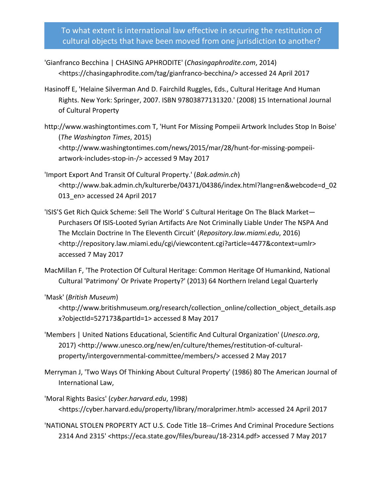- 'Gianfranco Becchina | CHASING APHRODITE' (*Chasingaphrodite.com*, 2014) <https://chasingaphrodite.com/tag/gianfranco-becchina/> accessed 24 April 2017
- Hasinoff E, 'Helaine Silverman And D. Fairchild Ruggles, Eds., Cultural Heritage And Human Rights. New York: Springer, 2007. ISBN 97803877131320.' (2008) 15 International Journal of Cultural Property
- http://www.washingtontimes.com T, 'Hunt For Missing Pompeii Artwork Includes Stop In Boise' (*The Washington Times*, 2015) <http://www.washingtontimes.com/news/2015/mar/28/hunt-for-missing-pompeiiartwork-includes-stop-in-/> accessed 9 May 2017
- 'Import Export And Transit Of Cultural Property.' (*Bak.admin.ch*) <http://www.bak.admin.ch/kulturerbe/04371/04386/index.html?lang=en&webcode=d\_02 013 en> accessed 24 April 2017
- 'ISIS'S Get Rich Quick Scheme: Sell The World' S Cultural Heritage On The Black Market— Purchasers Of ISIS-Looted Syrian Artifacts Are Not Criminally Liable Under The NSPA And The Mcclain Doctrine In The Eleventh Circuit' (*Repository.law.miami.edu*, 2016) <http://repository.law.miami.edu/cgi/viewcontent.cgi?article=4477&context=umlr> accessed 7 May 2017
- MacMillan F, 'The Protection Of Cultural Heritage: Common Heritage Of Humankind, National Cultural 'Patrimony' Or Private Property?' (2013) 64 Northern Ireland Legal Quarterly
- 'Mask' (*British Museum*)
	- <http://www.britishmuseum.org/research/collection\_online/collection\_object\_details.asp x?objectId=527173&partId=1> accessed 8 May 2017
- 'Members | United Nations Educational, Scientific And Cultural Organization' (*Unesco.org*, 2017) <http://www.unesco.org/new/en/culture/themes/restitution-of-culturalproperty/intergovernmental-committee/members/> accessed 2 May 2017
- Merryman J, 'Two Ways Of Thinking About Cultural Property' (1986) 80 The American Journal of International Law,
- 'Moral Rights Basics' (*cyber.harvard.edu*, 1998) <https://cyber.harvard.edu/property/library/moralprimer.html> accessed 24 April 2017
- 'NATIONAL STOLEN PROPERTY ACT U.S. Code Title 18--Crimes And Criminal Procedure Sections 2314 And 2315' <https://eca.state.gov/files/bureau/18-2314.pdf> accessed 7 May 2017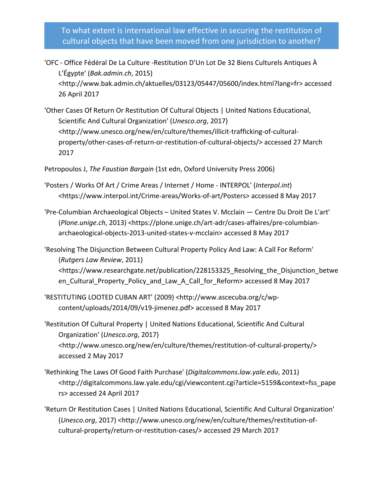- 'OFC Office Fédéral De La Culture -Restitution D'Un Lot De 32 Biens Culturels Antiques À L'Égypte' (*Bak.admin.ch*, 2015) <http://www.bak.admin.ch/aktuelles/03123/05447/05600/index.html?lang=fr> accessed 26 April 2017
- 'Other Cases Of Return Or Restitution Of Cultural Objects | United Nations Educational, Scientific And Cultural Organization' (*Unesco.org*, 2017) <http://www.unesco.org/new/en/culture/themes/illicit-trafficking-of-culturalproperty/other-cases-of-return-or-restitution-of-cultural-objects/> accessed 27 March 2017

Petropoulos J, *The Faustian Bargain* (1st edn, Oxford University Press 2006)

- 'Posters / Works Of Art / Crime Areas / Internet / Home INTERPOL' (*Interpol.int*) <https://www.interpol.int/Crime-areas/Works-of-art/Posters> accessed 8 May 2017
- 'Pre-Columbian Archaeological Objects United States V. Mcclain Centre Du Droit De L'art' (*Plone.unige.ch*, 2013) <https://plone.unige.ch/art-adr/cases-affaires/pre-columbianarchaeological-objects-2013-united-states-v-mcclain> accessed 8 May 2017
- 'Resolving The Disjunction Between Cultural Property Policy And Law: A Call For Reform' (*Rutgers Law Review*, 2011) <https://www.researchgate.net/publication/228153325\_Resolving\_the\_Disjunction\_betwe en\_Cultural\_Property\_Policy\_and\_Law\_A\_Call\_for\_Reform> accessed 8 May 2017
- 'RESTITUTING LOOTED CUBAN ART' (2009) <http://www.ascecuba.org/c/wpcontent/uploads/2014/09/v19-jimenez.pdf> accessed 8 May 2017
- 'Restitution Of Cultural Property | United Nations Educational, Scientific And Cultural Organization' (*Unesco.org*, 2017) <http://www.unesco.org/new/en/culture/themes/restitution-of-cultural-property/> accessed 2 May 2017
- 'Rethinking The Laws Of Good Faith Purchase' (*Digitalcommons.law.yale.edu*, 2011) <http://digitalcommons.law.yale.edu/cgi/viewcontent.cgi?article=5159&context=fss\_pape rs> accessed 24 April 2017
- 'Return Or Restitution Cases | United Nations Educational, Scientific And Cultural Organization' (*Unesco.org*, 2017) <http://www.unesco.org/new/en/culture/themes/restitution-ofcultural-property/return-or-restitution-cases/> accessed 29 March 2017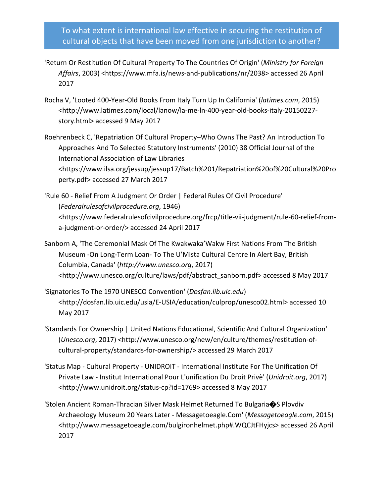- 'Return Or Restitution Of Cultural Property To The Countries Of Origin' (*Ministry for Foreign Affairs*, 2003) <https://www.mfa.is/news-and-publications/nr/2038> accessed 26 April 2017
- Rocha V, 'Looted 400-Year-Old Books From Italy Turn Up In California' (*latimes.com*, 2015) <http://www.latimes.com/local/lanow/la-me-ln-400-year-old-books-italy-20150227 story.html> accessed 9 May 2017
- Roehrenbeck C, 'Repatriation Of Cultural Property–Who Owns The Past? An Introduction To Approaches And To Selected Statutory Instruments' (2010) 38 Official Journal of the International Association of Law Libraries <https://www.ilsa.org/jessup/jessup17/Batch%201/Repatriation%20of%20Cultural%20Pro perty.pdf> accessed 27 March 2017
- 'Rule 60 Relief From A Judgment Or Order | Federal Rules Of Civil Procedure' (*Federalrulesofcivilprocedure.org*, 1946) <https://www.federalrulesofcivilprocedure.org/frcp/title-vii-judgment/rule-60-relief-froma-judgment-or-order/> accessed 24 April 2017
- Sanborn A, 'The Ceremonial Mask Of The Kwakwaka'Wakw First Nations From The British Museum -On Long-Term Loan- To The U'Mista Cultural Centre In Alert Bay, British Columbia, Canada' (*http://www.unesco.org*, 2017) <http://www.unesco.org/culture/laws/pdf/abstract\_sanborn.pdf> accessed 8 May 2017
- 'Signatories To The 1970 UNESCO Convention' (*Dosfan.lib.uic.edu*) <http://dosfan.lib.uic.edu/usia/E-USIA/education/culprop/unesco02.html> accessed 10 May 2017
- 'Standards For Ownership | United Nations Educational, Scientific And Cultural Organization' (*Unesco.org*, 2017) <http://www.unesco.org/new/en/culture/themes/restitution-ofcultural-property/standards-for-ownership/> accessed 29 March 2017
- 'Status Map Cultural Property UNIDROIT International Institute For The Unification Of Private Law - Institut International Pour L'unification Du Droit Privè' (*Unidroit.org*, 2017) <http://www.unidroit.org/status-cp?id=1769> accessed 8 May 2017
- 'Stolen Ancient Roman-Thracian Silver Mask Helmet Returned To Bulgaria�S Plovdiv Archaeology Museum 20 Years Later - Messagetoeagle.Com' (*Messagetoeagle.com*, 2015) <http://www.messagetoeagle.com/bulgironhelmet.php#.WQCJtFHyjcs> accessed 26 April 2017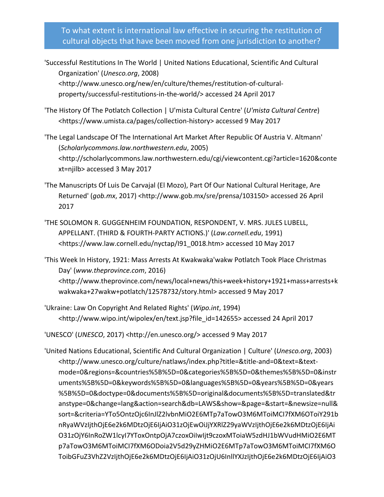- 'Successful Restitutions In The World | United Nations Educational, Scientific And Cultural Organization' (*Unesco.org*, 2008) <http://www.unesco.org/new/en/culture/themes/restitution-of-culturalproperty/successful-restitutions-in-the-world/> accessed 24 April 2017
- 'The History Of The Potlatch Collection | U'mista Cultural Centre' (*U'mista Cultural Centre*) <https://www.umista.ca/pages/collection-history> accessed 9 May 2017

'The Legal Landscape Of The International Art Market After Republic Of Austria V. Altmann' (*Scholarlycommons.law.northwestern.edu*, 2005) <http://scholarlycommons.law.northwestern.edu/cgi/viewcontent.cgi?article=1620&conte xt=njilb> accessed 3 May 2017

- 'The Manuscripts Of Luis De Carvajal (El Mozo), Part Of Our National Cultural Heritage, Are Returned' (*gob.mx*, 2017) <http://www.gob.mx/sre/prensa/103150> accessed 26 April 2017
- 'THE SOLOMON R. GUGGENHEIM FOUNDATION, RESPONDENT, V. MRS. JULES LUBELL, APPELLANT. (THIRD & FOURTH-PARTY ACTIONS.)' (*Law.cornell.edu*, 1991) <https://www.law.cornell.edu/nyctap/I91\_0018.htm> accessed 10 May 2017

'This Week In History, 1921: Mass Arrests At Kwakwaka'wakw Potlatch Took Place Christmas Day' (*www.theprovince.com*, 2016) <http://www.theprovince.com/news/local+news/this+week+history+1921+mass+arrests+k wakwaka+27wakw+potlatch/12578732/story.html> accessed 9 May 2017

'Ukraine: Law On Copyright And Related Rights' (*Wipo.int*, 1994) <http://www.wipo.int/wipolex/en/text.jsp?file\_id=142655> accessed 24 April 2017

'UNESCO' (*UNESCO*, 2017) <http://en.unesco.org/> accessed 9 May 2017

'United Nations Educational, Scientific And Cultural Organization | Culture' (*Unesco.org*, 2003) <http://www.unesco.org/culture/natlaws/index.php?title=&title-and=0&text=&textmode=0&regions=&countries%5B%5D=0&categories%5B%5D=0&themes%5B%5D=0&instr uments%5B%5D=0&keywords%5B%5D=0&languages%5B%5D=0&years%5B%5D=0&years %5B%5D=0&doctype=0&documents%5B%5D=original&documents%5B%5D=translated&tr anstype=0&change=lang&action=search&db=LAWS&show=&page=&start=&newsize=null& sort=&criteria=YTo5OntzOjc6InJlZ2lvbnMiO2E6MTp7aTowO3M6MToiMCI7fXM6OToiY291b nRyaWVzIjthOjE6e2k6MDtzOjE6IjAiO31zOjEwOiJjYXRlZ29yaWVzIjthOjE6e2k6MDtzOjE6IjAi O31zOjY6InRoZW1lcyI7YToxOntpOjA7czoxOiIwIjt9czoxMToiaW5zdHJ1bWVudHMiO2E6MT p7aTowO3M6MToiMCI7fXM6ODoia2V5d29yZHMiO2E6MTp7aTowO3M6MToiMCI7fXM6O ToibGFuZ3VhZ2VzIjthOjE6e2k6MDtzOjE6IjAiO31zOjU6InllYXJzIjthOjE6e2k6MDtzOjE6IjAiO3